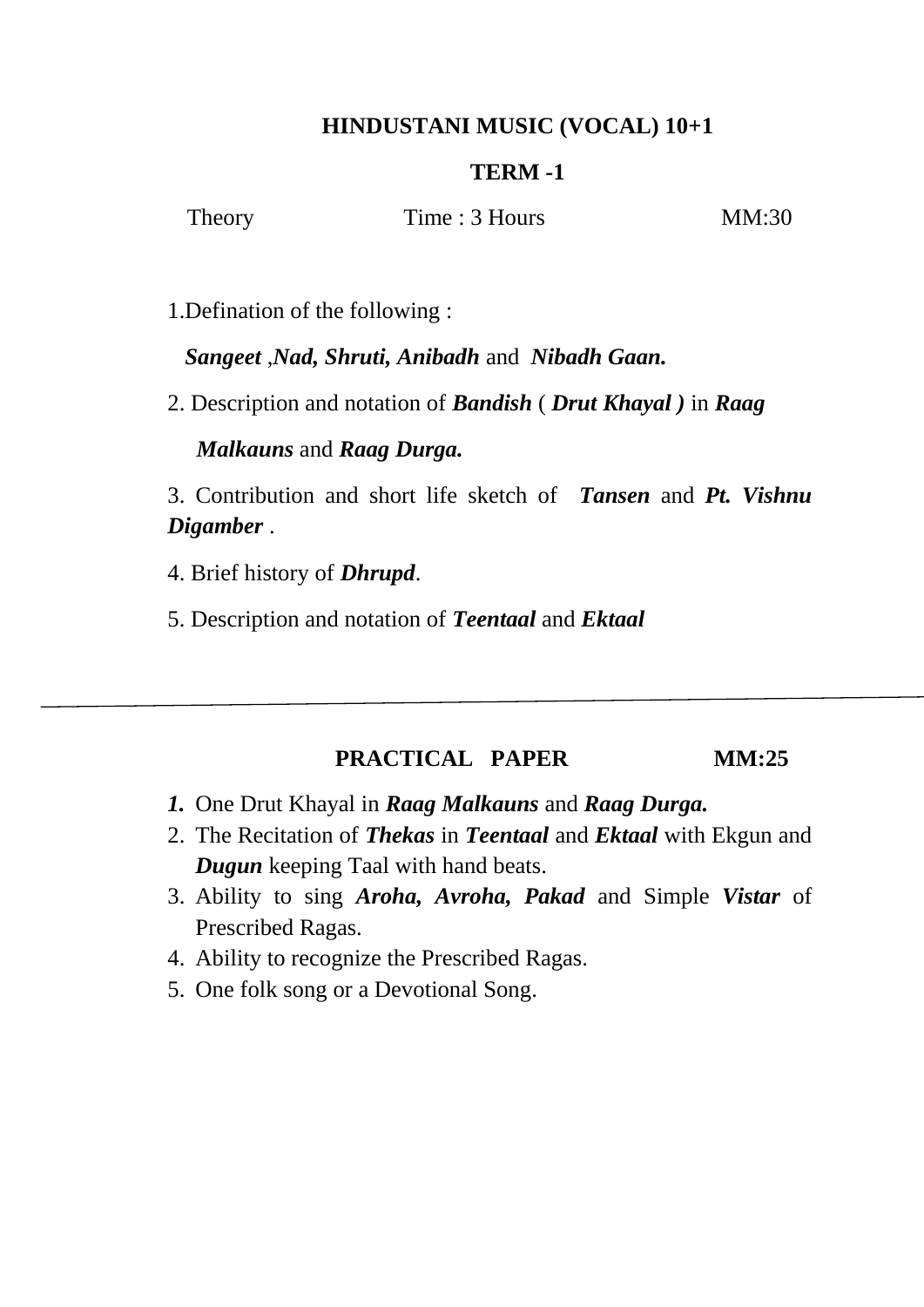## **HINDUSTANI MUSIC (VOCAL) 10+1**

#### **TERM -1**

Theory Time : 3 Hours MM:30

1.Defination of the following :

*Sangeet* ,*Nad, Shruti, Anibadh* and *Nibadh Gaan.*

2. Description and notation of *Bandish* ( *Drut Khayal )* in *Raag*

#### *Malkauns* and *Raag Durga.*

3. Contribution and short life sketch of *Tansen* and *Pt. Vishnu Digamber* .

- 4. Brief history of *Dhrupd*.
- 5. Description and notation of *Teentaal* and *Ektaal*

### **PRACTICAL PAPER MM:25**

- *1.* One Drut Khayal in *Raag Malkauns* and *Raag Durga.*
- 2. The Recitation of *Thekas* in *Teentaal* and *Ektaal* with Ekgun and *Dugun* keeping Taal with hand beats.
- 3. Ability to sing *Aroha, Avroha, Pakad* and Simple *Vistar* of Prescribed Ragas.
- 4. Ability to recognize the Prescribed Ragas.
- 5. One folk song or a Devotional Song.